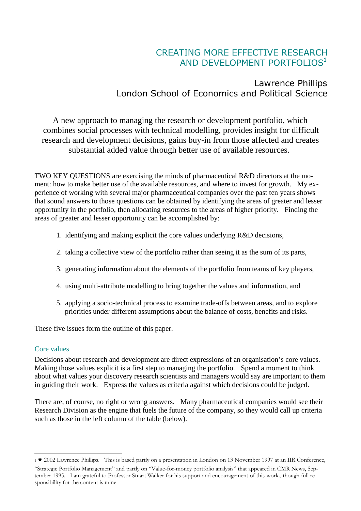# CREATING MORE EFFECTIVE RESEARCH AND DEVELOPMENT PORTFOLIOS $^{\rm 1}$

## Lawrence Phillips London School of Economics and Political Science

A new approach to managing the research or development portfolio, which combines social processes with technical modelling, provides insight for difficult research and development decisions, gains buy-in from those affected and creates substantial added value through better use of available resources.

TWO KEY QUESTIONS are exercising the minds of pharmaceutical R&D directors at the moment: how to make better use of the available resources, and where to invest for growth. My experience of working with several major pharmaceutical companies over the past ten years shows that sound answers to those questions can be obtained by identifying the areas of greater and lesser opportunity in the portfolio, then allocating resources to the areas of higher priority. Finding the areas of greater and lesser opportunity can be accomplished by:

- 1. identifying and making explicit the core values underlying R&D decisions,
- 2. taking a collective view of the portfolio rather than seeing it as the sum of its parts,
- 3. generating information about the elements of the portfolio from teams of key players,
- 4. using multi-attribute modelling to bring together the values and information, and
- 5. applying a socio-technical process to examine trade-offs between areas, and to explore priorities under different assumptions about the balance of costs, benefits and risks.

These five issues form the outline of this paper.

### Core values

Decisions about research and development are direct expressions of an organisation's core values. Making those values explicit is a first step to managing the portfolio. Spend a moment to think about what values your discovery research scientists and managers would say are important to them in guiding their work. Express the values as criteria against which decisions could be judged.

There are, of course, no right or wrong answers. Many pharmaceutical companies would see their Research Division as the engine that fuels the future of the company, so they would call up criteria such as those in the left column of the table (below).

 $\overline{a}$ <sup>1</sup> 2002 Lawrence Phillips. This is based partly on a presentation in London on 13 November 1997 at an IIR Conference,

<sup>&</sup>quot;Strategic Portfolio Management" and partly on "Value-for-money portfolio analysis" that appeared in CMR News, September 1995. I am grateful to Professor Stuart Walker for his support and encouragement of this work., though full responsibility for the content is mine.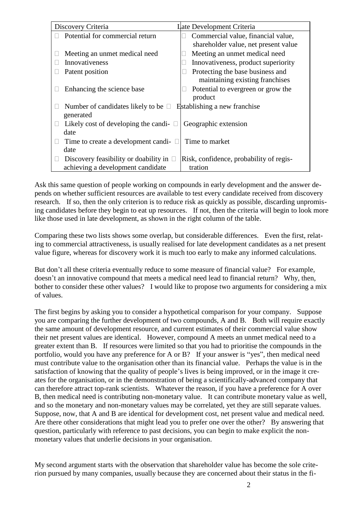| Discovery Criteria                              | Late Development Criteria               |
|-------------------------------------------------|-----------------------------------------|
| Potential for commercial return                 | Commercial value, financial value,      |
|                                                 | shareholder value, net present value    |
| Meeting an unmet medical need                   | Meeting an unmet medical need           |
| Innovativeness                                  | Innovativeness, product superiority     |
| Patent position                                 | Protecting the base business and        |
|                                                 | maintaining existing franchises         |
| Enhancing the science base                      | Potential to evergreen or grow the      |
|                                                 | product                                 |
| Number of candidates likely to be $\Box$        | Establishing a new franchise            |
| generated                                       |                                         |
| Likely cost of developing the candi- $\Box$     | Geographic extension                    |
| date                                            |                                         |
| Time to create a development candi-<br>U.       | Time to market                          |
| date                                            |                                         |
| Discovery feasibility or doability in<br>$\Box$ | Risk, confidence, probability of regis- |
| achieving a development candidate               | tration                                 |

Ask this same question of people working on compounds in early development and the answer depends on whether sufficient resources are available to test every candidate received from discovery research. If so, then the only criterion is to reduce risk as quickly as possible, discarding unpromising candidates before they begin to eat up resources. If not, then the criteria will begin to look more like those used in late development, as shown in the right column of the table.

Comparing these two lists shows some overlap, but considerable differences. Even the first, relating to commercial attractiveness, is usually realised for late development candidates as a net present value figure, whereas for discovery work it is much too early to make any informed calculations.

But don't all these criteria eventually reduce to some measure of financial value? For example, doesn't an innovative compound that meets a medical need lead to financial return? Why, then, bother to consider these other values? I would like to propose two arguments for considering a mix of values.

The first begins by asking you to consider a hypothetical comparison for your company. Suppose you are comparing the further development of two compounds, A and B. Both will require exactly the same amount of development resource, and current estimates of their commercial value show their net present values are identical. However, compound A meets an unmet medical need to a greater extent than B. If resources were limited so that you had to prioritise the compounds in the portfolio, would you have any preference for A or B? If your answer is "yes", then medical need must contribute value to the organisation other than its financial value. Perhaps the value is in the satisfaction of knowing that the quality of people's lives is being improved, or in the image it creates for the organisation, or in the demonstration of being a scientifically-advanced company that can therefore attract top-rank scientists. Whatever the reason, if you have a preference for A over B, then medical need is contributing non-monetary value. It can contribute monetary value as well, and so the monetary and non-monetary values may be correlated, yet they are still separate values. Suppose, now, that A and B are identical for development cost, net present value and medical need. Are there other considerations that might lead you to prefer one over the other? By answering that question, particularly with reference to past decisions, you can begin to make explicit the nonmonetary values that underlie decisions in your organisation.

My second argument starts with the observation that shareholder value has become the sole criterion pursued by many companies, usually because they are concerned about their status in the fi-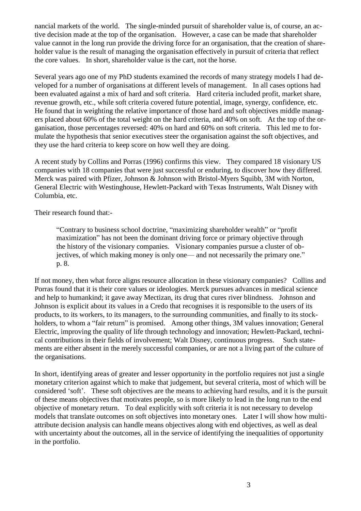nancial markets of the world. The single-minded pursuit of shareholder value is, of course, an active decision made at the top of the organisation. However, a case can be made that shareholder value cannot in the long run provide the driving force for an organisation, that the creation of shareholder value is the result of managing the organisation effectively in pursuit of criteria that reflect the core values. In short, shareholder value is the cart, not the horse.

Several years ago one of my PhD students examined the records of many strategy models I had developed for a number of organisations at different levels of management. In all cases options had been evaluated against a mix of hard and soft criteria. Hard criteria included profit, market share, revenue growth, etc., while soft criteria covered future potential, image, synergy, confidence, etc. He found that in weighting the relative importance of those hard and soft objectives middle managers placed about 60% of the total weight on the hard criteria, and 40% on soft. At the top of the organisation, those percentages reversed: 40% on hard and 60% on soft criteria. This led me to formulate the hypothesis that senior executives steer the organisation against the soft objectives, and they use the hard criteria to keep score on how well they are doing.

A recent study by Collins and Porras (1996) confirms this view. They compared 18 visionary US companies with 18 companies that were just successful or enduring, to discover how they differed. Merck was paired with Pfizer, Johnson & Johnson with Bristol-Myers Squibb, 3M with Norton, General Electric with Westinghouse, Hewlett-Packard with Texas Instruments, Walt Disney with Columbia, etc.

Their research found that:-

"Contrary to business school doctrine, "maximizing shareholder wealth" or "profit maximization" has not been the dominant driving force or primary objective through the history of the visionary companies. Visionary companies pursue a cluster of objectives, of which making money is only one— and not necessarily the primary one." p. 8.

If not money, then what force aligns resource allocation in these visionary companies? Collins and Porras found that it is their core values or ideologies. Merck pursues advances in medical science and help to humankind; it gave away Mectizan, its drug that cures river blindness. Johnson and Johnson is explicit about its values in a Credo that recognises it is responsible to the users of its products, to its workers, to its managers, to the surrounding communities, and finally to its stockholders, to whom a "fair return" is promised. Among other things, 3M values innovation; General Electric, improving the quality of life through technology and innovation; Hewlett-Packard, technical contributions in their fields of involvement; Walt Disney, continuous progress. Such statements are either absent in the merely successful companies, or are not a living part of the culture of the organisations.

In short, identifying areas of greater and lesser opportunity in the portfolio requires not just a single monetary criterion against which to make that judgement, but several criteria, most of which will be considered 'soft'. These soft objectives are the means to achieving hard results, and it is the pursuit of these means objectives that motivates people, so is more likely to lead in the long run to the end objective of monetary return. To deal explicitly with soft criteria it is not necessary to develop models that translate outcomes on soft objectives into monetary ones. Later I will show how multiattribute decision analysis can handle means objectives along with end objectives, as well as deal with uncertainty about the outcomes, all in the service of identifying the inequalities of opportunity in the portfolio.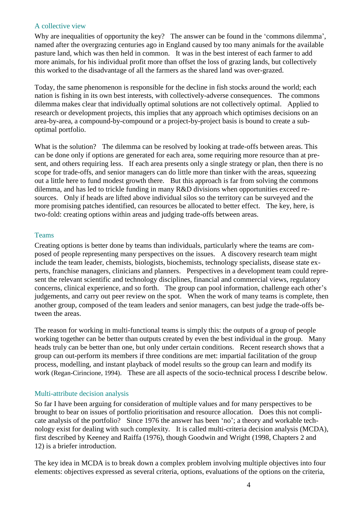#### A collective view

Why are inequalities of opportunity the key? The answer can be found in the 'commons dilemma', named after the overgrazing centuries ago in England caused by too many animals for the available pasture land, which was then held in common. It was in the best interest of each farmer to add more animals, for his individual profit more than offset the loss of grazing lands, but collectively this worked to the disadvantage of all the farmers as the shared land was over-grazed.

Today, the same phenomenon is responsible for the decline in fish stocks around the world; each nation is fishing in its own best interests, with collectively-adverse consequences. The commons dilemma makes clear that individually optimal solutions are not collectively optimal. Applied to research or development projects, this implies that any approach which optimises decisions on an area-by-area, a compound-by-compound or a project-by-project basis is bound to create a suboptimal portfolio.

What is the solution? The dilemma can be resolved by looking at trade-offs between areas. This can be done only if options are generated for each area, some requiring more resource than at present, and others requiring less. If each area presents only a single strategy or plan, then there is no scope for trade-offs, and senior managers can do little more than tinker with the areas, squeezing out a little here to fund modest growth there. But this approach is far from solving the commons dilemma, and has led to trickle funding in many R&D divisions when opportunities exceed resources. Only if heads are lifted above individual silos so the territory can be surveyed and the more promising patches identified, can resources be allocated to better effect. The key, here, is two-fold: creating options within areas and judging trade-offs between areas.

#### **Teams**

Creating options is better done by teams than individuals, particularly where the teams are composed of people representing many perspectives on the issues. A discovery research team might include the team leader, chemists, biologists, biochemists, technology specialists, disease state experts, franchise managers, clinicians and planners. Perspectives in a development team could represent the relevant scientific and technology disciplines, financial and commercial views, regulatory concerns, clinical experience, and so forth. The group can pool information, challenge each other's judgements, and carry out peer review on the spot. When the work of many teams is complete, then another group, composed of the team leaders and senior managers, can best judge the trade-offs between the areas.

The reason for working in multi-functional teams is simply this: the outputs of a group of people working together can be better than outputs created by even the best individual in the group. Many heads truly can be better than one, but only under certain conditions. Recent research shows that a group can out-perform its members if three conditions are met: impartial facilitation of the group process, modelling, and instant playback of model results so the group can learn and modify its work (Regan-Cirincione, 1994). These are all aspects of the socio-technical process I describe below.

### Multi-attribute decision analysis

So far I have been arguing for consideration of multiple values and for many perspectives to be brought to bear on issues of portfolio prioritisation and resource allocation. Does this not complicate analysis of the portfolio? Since 1976 the answer has been 'no'; a theory and workable technology exist for dealing with such complexity. It is called multi-criteria decision analysis (MCDA), first described by Keeney and Raiffa (1976), though Goodwin and Wright (1998, Chapters 2 and 12) is a briefer introduction.

The key idea in MCDA is to break down a complex problem involving multiple objectives into four elements: objectives expressed as several criteria, options, evaluations of the options on the criteria,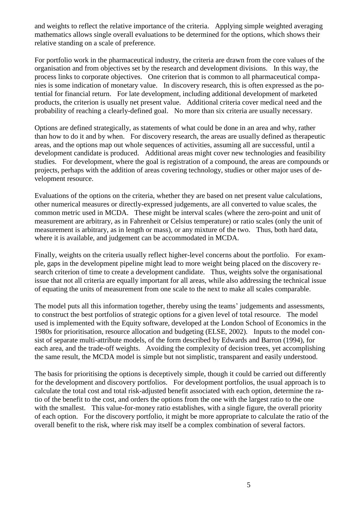and weights to reflect the relative importance of the criteria. Applying simple weighted averaging mathematics allows single overall evaluations to be determined for the options, which shows their relative standing on a scale of preference.

For portfolio work in the pharmaceutical industry, the criteria are drawn from the core values of the organisation and from objectives set by the research and development divisions. In this way, the process links to corporate objectives. One criterion that is common to all pharmaceutical companies is some indication of monetary value. In discovery research, this is often expressed as the potential for financial return. For late development, including additional development of marketed products, the criterion is usually net present value. Additional criteria cover medical need and the probability of reaching a clearly-defined goal. No more than six criteria are usually necessary.

Options are defined strategically, as statements of what could be done in an area and why, rather than how to do it and by when. For discovery research, the areas are usually defined as therapeutic areas, and the options map out whole sequences of activities, assuming all are successful, until a development candidate is produced. Additional areas might cover new technologies and feasibility studies. For development, where the goal is registration of a compound, the areas are compounds or projects, perhaps with the addition of areas covering technology, studies or other major uses of development resource.

Evaluations of the options on the criteria, whether they are based on net present value calculations, other numerical measures or directly-expressed judgements, are all converted to value scales, the common metric used in MCDA. These might be interval scales (where the zero-point and unit of measurement are arbitrary, as in Fahrenheit or Celsius temperature) or ratio scales (only the unit of measurement is arbitrary, as in length or mass), or any mixture of the two. Thus, both hard data, where it is available, and judgement can be accommodated in MCDA.

Finally, weights on the criteria usually reflect higher-level concerns about the portfolio. For example, gaps in the development pipeline might lead to more weight being placed on the discovery research criterion of time to create a development candidate. Thus, weights solve the organisational issue that not all criteria are equally important for all areas, while also addressing the technical issue of equating the units of measurement from one scale to the next to make all scales comparable.

The model puts all this information together, thereby using the teams' judgements and assessments, to construct the best portfolios of strategic options for a given level of total resource. The model used is implemented with the Equity software, developed at the London School of Economics in the 1980s for prioritisation, resource allocation and budgeting (ELSE, 2002). Inputs to the model consist of separate multi-attribute models, of the form described by Edwards and Barron (1994), for each area, and the trade-off weights. Avoiding the complexity of decision trees, yet accomplishing the same result, the MCDA model is simple but not simplistic, transparent and easily understood.

The basis for prioritising the options is deceptively simple, though it could be carried out differently for the development and discovery portfolios. For development portfolios, the usual approach is to calculate the total cost and total risk-adjusted benefit associated with each option, determine the ratio of the benefit to the cost, and orders the options from the one with the largest ratio to the one with the smallest. This value-for-money ratio establishes, with a single figure, the overall priority of each option. For the discovery portfolio, it might be more appropriate to calculate the ratio of the overall benefit to the risk, where risk may itself be a complex combination of several factors.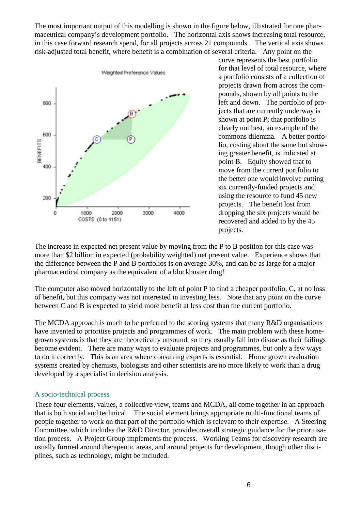The most important output of this modelling is shown in the figure below, illustrated for one pharmaceutical company's development portfolio. The horizontal axis shows increasing total resource, in this case forward research spend, for all projects across 21 compounds. The vertical axis shows risk-adjusted total benefit, where benefit is a combination of several criteria. Any point on the



curve represents the best portfolio for that level of total resource, where a portfolio consists of a collection of projects drawn from across the compounds, shown by all points to the left and down. The portfolio of projects that are currently underway is shown at point P; that portfolio is clearly not best, an example of the commons dilemma. A better portfolio, costing about the same but showing greater benefit, is indicated at point B. Equity showed that to move from the current portfolio to the better one would involve cutting six currently-funded projects and using the resource to fund 45 new projects. The benefit lost from dropping the six projects would be recovered and added to by the 45 projects.

The increase in expected net present value by moving from the P to B position for this case was more than \$2 billion in expected (probability weighted) net present value. Experience shows that the difference between the P and B portfolios is on average 30%, and can be as large for a major pharmaceutical company as the equivalent of a blockbuster drug!

The computer also moved horizontally to the left of point P to find a cheaper portfolio, C, at no loss of benefit, but this company was not interested in investing less. Note that any point on the curve between C and B is expected to yield more benefit at less cost than the current portfolio.

The MCDA approach is much to be preferred to the scoring systems that many R&D organisations have invented to prioritise projects and programmes of work. The main problem with these homegrown systems is that they are theoretically unsound, so they usually fall into disuse as their failings become evident. There are many ways to evaluate projects and programmes, but only a few ways to do it correctly. This is an area where consulting experts is essential. Home grown evaluation systems created by chemists, biologists and other scientists are no more likely to work than a drug developed by a specialist in decision analysis.

#### A socio-technical process

These four elements, values, a collective view, teams and MCDA, all come together in an approach that is both social and technical. The social element brings appropriate multi-functional teams of people together to work on that part of the portfolio which is relevant to their expertise. A Steering Committee, which includes the R&D Director, provides overall strategic guidance for the prioritisation process. A Project Group implements the process. Working Teams for discovery research are usually formed around therapeutic areas, and around projects for development, though other disciplines, such as technology, might be included.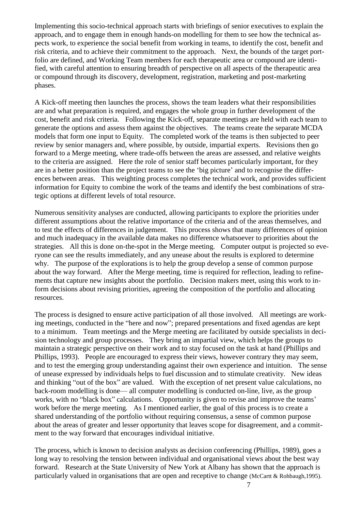Implementing this socio-technical approach starts with briefings of senior executives to explain the approach, and to engage them in enough hands-on modelling for them to see how the technical aspects work, to experience the social benefit from working in teams, to identify the cost, benefit and risk criteria, and to achieve their commitment to the approach. Next, the bounds of the target portfolio are defined, and Working Team members for each therapeutic area or compound are identified, with careful attention to ensuring breadth of perspective on all aspects of the therapeutic area or compound through its discovery, development, registration, marketing and post-marketing phases.

A Kick-off meeting then launches the process, shows the team leaders what their responsibilities are and what preparation is required, and engages the whole group in further development of the cost, benefit and risk criteria. Following the Kick-off, separate meetings are held with each team to generate the options and assess them against the objectives. The teams create the separate MCDA models that form one input to Equity. The completed work of the teams is then subjected to peer review by senior managers and, where possible, by outside, impartial experts. Revisions then go forward to a Merge meeting, where trade-offs between the areas are assessed, and relative weights to the criteria are assigned. Here the role of senior staff becomes particularly important, for they are in a better position than the project teams to see the 'big picture' and to recognise the differences between areas. This weighting process completes the technical work, and provides sufficient information for Equity to combine the work of the teams and identify the best combinations of strategic options at different levels of total resource.

Numerous sensitivity analyses are conducted, allowing participants to explore the priorities under different assumptions about the relative importance of the criteria and of the areas themselves, and to test the effects of differences in judgement. This process shows that many differences of opinion and much inadequacy in the available data makes no difference whatsoever to priorities about the strategies. All this is done on-the-spot in the Merge meeting. Computer output is projected so everyone can see the results immediately, and any unease about the results is explored to determine why. The purpose of the explorations is to help the group develop a sense of common purpose about the way forward. After the Merge meeting, time is required for reflection, leading to refinements that capture new insights about the portfolio. Decision makers meet, using this work to inform decisions about revising priorities, agreeing the composition of the portfolio and allocating resources.

The process is designed to ensure active participation of all those involved. All meetings are working meetings, conducted in the "here and now"; prepared presentations and fixed agendas are kept to a minimum. Team meetings and the Merge meeting are facilitated by outside specialists in decision technology and group processes. They bring an impartial view, which helps the groups to maintain a strategic perspective on their work and to stay focused on the task at hand (Phillips and Phillips, 1993). People are encouraged to express their views, however contrary they may seem, and to test the emerging group understanding against their own experience and intuition. The sense of unease expressed by individuals helps to fuel discussion and to stimulate creativity. New ideas and thinking "out of the box" are valued. With the exception of net present value calculations, no back-room modelling is done— all computer modelling is conducted on-line, live, as the group works, with no "black box" calculations. Opportunity is given to revise and improve the teams' work before the merge meeting. As I mentioned earlier, the goal of this process is to create a shared understanding of the portfolio without requiring consensus, a sense of common purpose about the areas of greater and lesser opportunity that leaves scope for disagreement, and a commitment to the way forward that encourages individual initiative.

The process, which is known to decision analysts as decision conferencing (Phillips, 1989), goes a long way to resolving the tension between individual and organisational views about the best way forward. Research at the State University of New York at Albany has shown that the approach is particularly valued in organisations that are open and receptive to change (McCartt & Rohbaugh,1995).